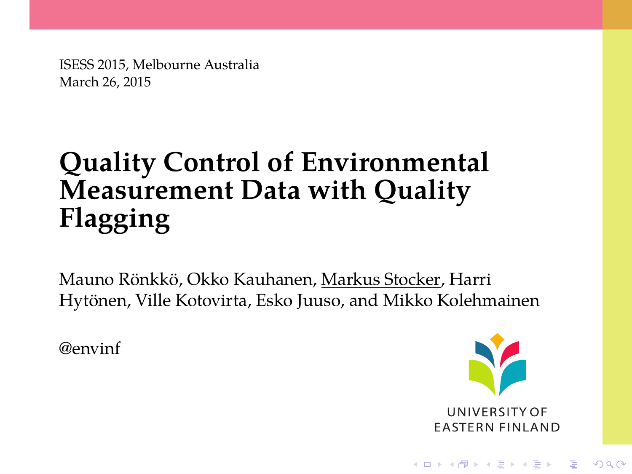ISESS 2015, Melbourne Australia March 26, 2015

# **Quality Control of Environmental Measurement Data with Quality Flagging**

Mauno Rönkkö, Okko Kauhanen, Markus Stocker, Harri Hytönen, Ville Kotovirta, Esko Juuso, and Mikko Kolehmainen

@envinf



**KORKARYKERKE POLO**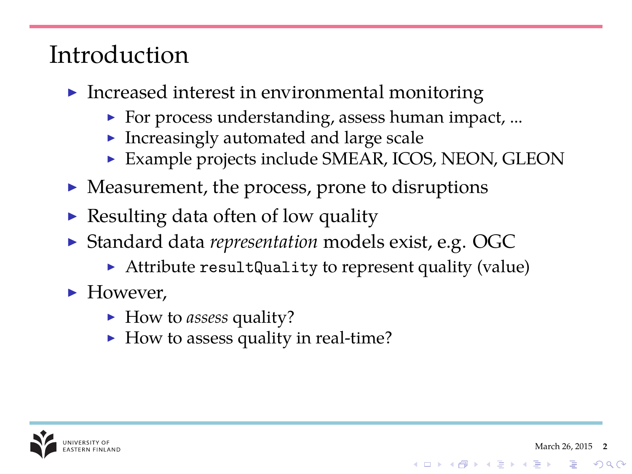## Introduction

- $\blacktriangleright$  Increased interest in environmental monitoring
	- $\triangleright$  For process understanding, assess human impact, ...
	- Increasingly automated and large scale
	- $\triangleright$  Example projects include SMEAR, ICOS, NEON, GLEON
- $\triangleright$  Measurement, the process, prone to disruptions
- Resulting data often of low quality
- <sup>I</sup> Standard data *representation* models exist, e.g. OGC
	- Attribute resultQuality to represent quality (value)
- $\blacktriangleright$  However,
	- ▶ How to assess quality?
	- $\blacktriangleright$  How to assess quality in real-time?



**KOD KAR KED KED E LOQO**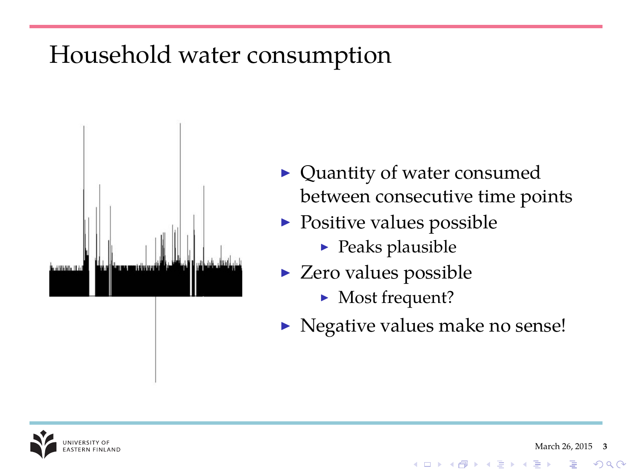## Household water consumption



- $\blacktriangleright$  Quantity of water consumed between consecutive time points
- $\triangleright$  Positive values possible
	- $\blacktriangleright$  Peaks plausible
- $\triangleright$  Zero values possible
	- $\blacktriangleright$  Most frequent?
- $\triangleright$  Negative values make no sense!

**K ロ ト K 何 ト K ヨ ト** 



 $\Omega$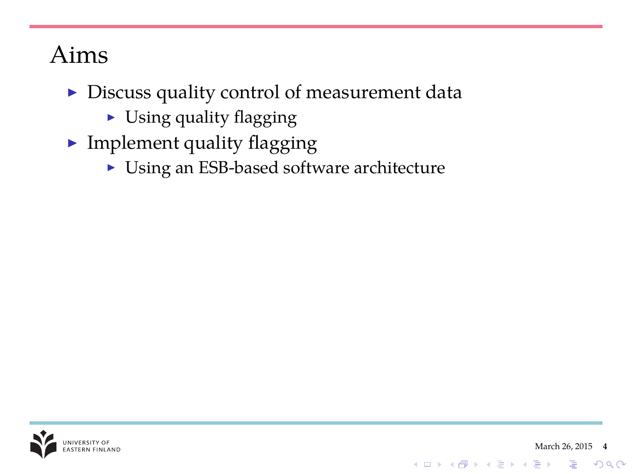## Aims

- $\triangleright$  Discuss quality control of measurement data
	- $\triangleright$  Using quality flagging
- $\blacktriangleright$  Implement quality flagging
	- ▶ Using an ESB-based software architecture



K ロ X K @ X K 할 X X 할 X : 할 X Y Q Q @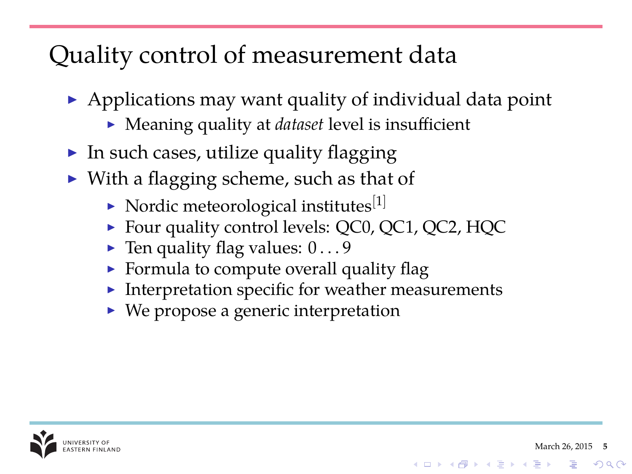## Quality control of measurement data

- $\triangleright$  Applications may want quality of individual data point
	- ▶ Meaning quality at *dataset* level is insufficient
- $\blacktriangleright$  In such cases, utilize quality flagging
- $\triangleright$  With a flagging scheme, such as that of
	- $\triangleright$  Nordic meteorological institutes<sup>[1]</sup>
	- ▶ Four quality control levels: QC0, QC1, QC2, HQC
	- $\blacktriangleright$  Ten quality flag values:  $0 \dots 9$
	- $\triangleright$  Formula to compute overall quality flag
	- $\blacktriangleright$  Interpretation specific for weather measurements
	- $\triangleright$  We propose a generic interpretation



 $2990$ 

イロト 不優 トイヨト イヨト 一重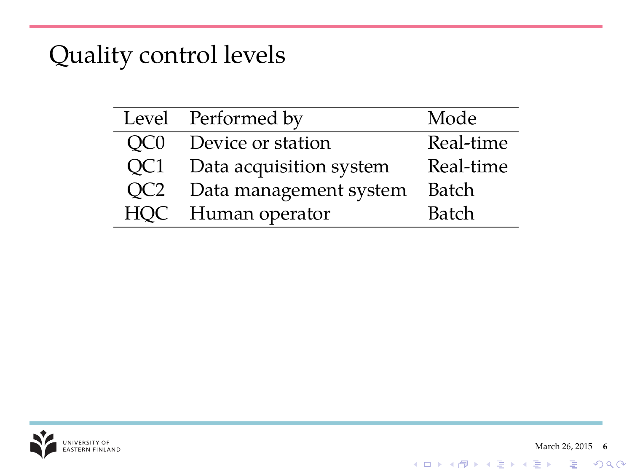## Quality control levels

|                 | Level Performed by      | Mode      |
|-----------------|-------------------------|-----------|
| OC <sub>0</sub> | Device or station       | Real-time |
| QC1             | Data acquisition system | Real-time |
| QC <sub>2</sub> | Data management system  | Batch     |
|                 | HQC Human operator      | Batch     |



K ロ ▶ K @ ▶ K 할 > K 할 > 1 할 > 1 이익어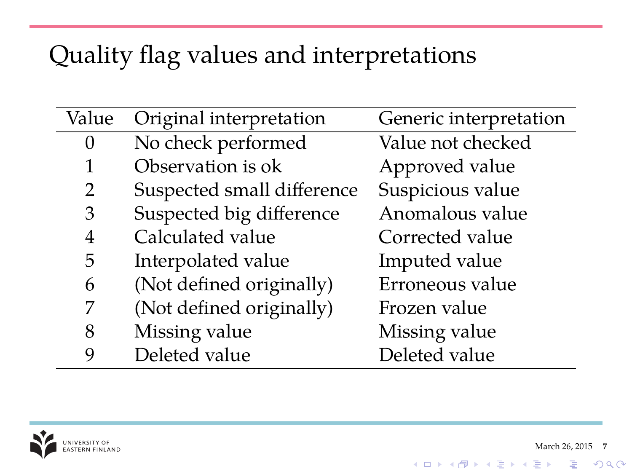## Quality flag values and interpretations

| Value | Original interpretation    | Generic interpretation |
|-------|----------------------------|------------------------|
| 0     | No check performed         | Value not checked      |
| 1     | Observation is ok          | Approved value         |
| 2     | Suspected small difference | Suspicious value       |
| 3     | Suspected big difference   | Anomalous value        |
| 4     | Calculated value           | Corrected value        |
| 5     | Interpolated value         | Imputed value          |
| 6     | (Not defined originally)   | Erroneous value        |
| 7     | (Not defined originally)   | Frozen value           |
| 8     | Missing value              | Missing value          |
| 9     | Deleted value              | Deleted value          |



 $\equiv$  990

イロトメ 倒 トメ 君 トメ 君 トー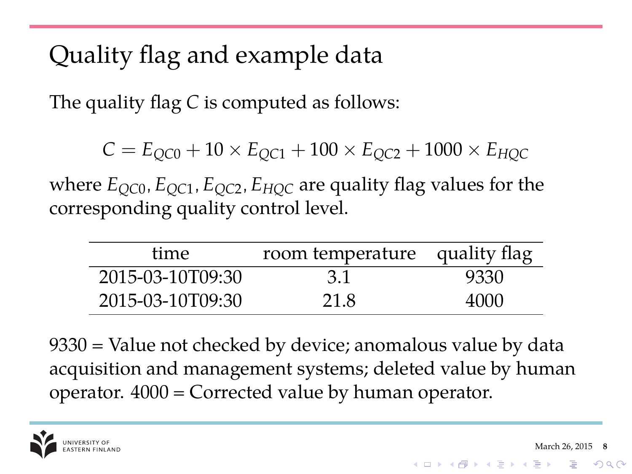## Quality flag and example data

The quality flag *C* is computed as follows:

 $C = E_{QCD} + 10 \times E_{QCD} + 100 \times E_{QCD} + 1000 \times E_{HDC}$ 

where  $E_{QC0}$ ,  $E_{QC1}$ ,  $E_{QC2}$ ,  $E_{HOC}$  are quality flag values for the corresponding quality control level.

| time             | room temperature quality flag |      |
|------------------|-------------------------------|------|
| 2015-03-10T09:30 | 3.1                           | 9330 |
| 2015-03-10T09:30 | 21.8                          | 4000 |

9330 = Value not checked by device; anomalous value by data acquisition and management systems; deleted value by human operator. 4000 = Corrected value by human operator.

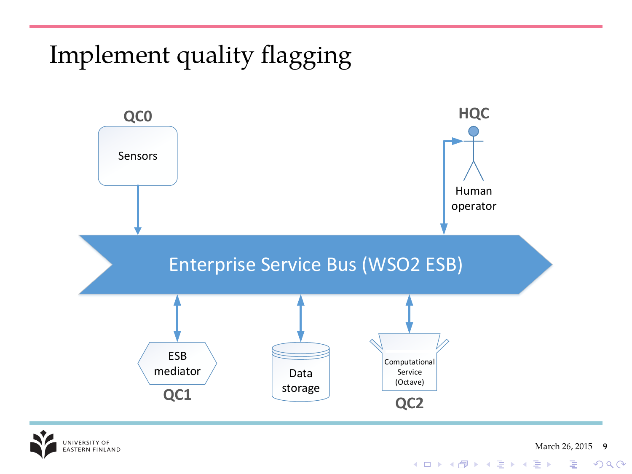## Implement quality flagging



NIVERSITY OF NIVERSITI OF<br>ASTERN FINLAND

March 26, 2015 **9**

 $\equiv$  990

イロトメ 倒 トメ 君 トメ 君 トー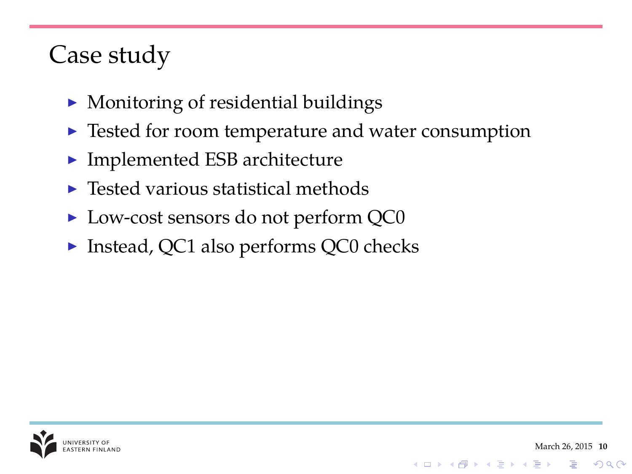## Case study

- $\blacktriangleright$  Monitoring of residential buildings
- $\blacktriangleright$  Tested for room temperature and water consumption
- $\blacktriangleright$  Implemented ESB architecture
- $\blacktriangleright$  Tested various statistical methods
- ► Low-cost sensors do not perform QC0
- $\triangleright$  Instead, QC1 also performs QC0 checks



 $2990$ 

イロメイタメイをメイをメー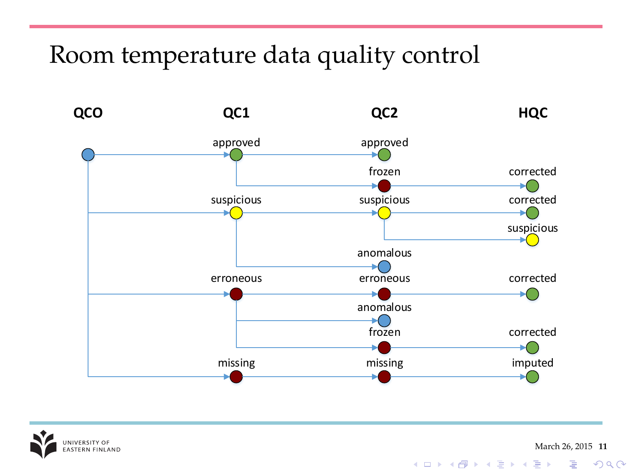#### Room temperature data quality control





March 26, 2015 **11**

K ロ ▶ K @ ▶ K 할 ▶ K 할 ▶ . 할 | K 9 Q @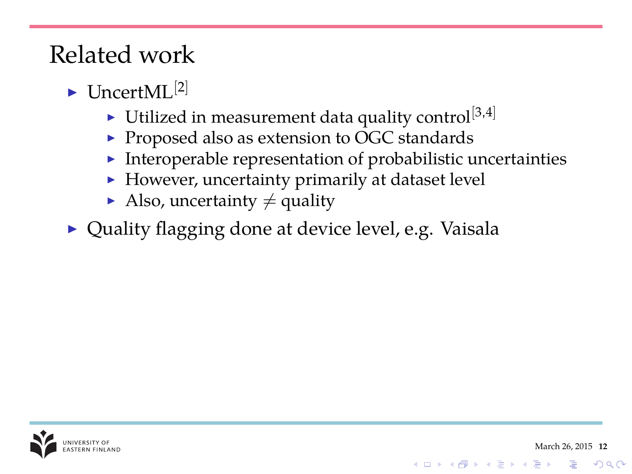## Related work

- $\blacktriangleright$  I IncertML $^{[2]}$ 
	- $\blacktriangleright$  Utilized in measurement data quality control<sup>[3,4]</sup>
	- $\triangleright$  Proposed also as extension to OGC standards
	- $\blacktriangleright$  Interoperable representation of probabilistic uncertainties
	- $\blacktriangleright$  However, uncertainty primarily at dataset level
	- Also, uncertainty  $\neq$  quality
- ▶ Quality flagging done at device level, e.g. Vaisala



**KORK STRAIN A STRAIN A STRAIN**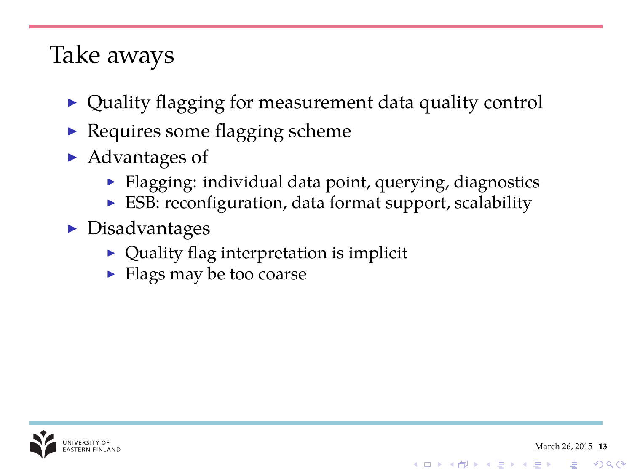#### Take aways

- $\triangleright$  Quality flagging for measurement data quality control
- $\blacktriangleright$  Requires some flagging scheme
- $\blacktriangleright$  Advantages of
	- $\blacktriangleright$  Flagging: individual data point, querying, diagnostics
	- ▶ ESB: reconfiguration, data format support, scalability
- $\blacktriangleright$  Disadvantages
	- $\triangleright$  Quality flag interpretation is implicit
	- $\blacktriangleright$  Flags may be too coarse



**KORK STRAIN A STRAIN A STRAIN**